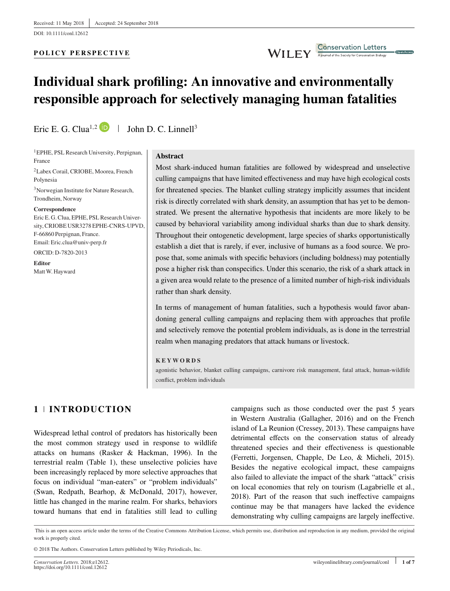DOI: 10.1111/conl.12612

## **POLICY PERSPECTIVE**

## WILEY Conservation Letters

# **Individual shark profiling: An innovative and environmentally responsible approach for selectively managing human fatalities**

Eric E. G. Clua<sup>1,2</sup> **D**  $\parallel$  John D. C. Linnell<sup>3</sup>

1EPHE, PSL Research University, Perpignan, France

2Labex Corail, CRIOBE, Moorea, French Polynesia

3Norwegian Institute for Nature Research, Trondheim, Norway

#### **Correspondence**

Eric E. G. Clua, EPHE, PSL Research University, CRIOBE USR3278 EPHE-CNRS-UPVD, F-66860 Perpignan, France. Email: Eric.clua@univ-perp.fr

ORCID: D-7820-2013

**Editor** MattW. Hayward

#### **Abstract**

Most shark-induced human fatalities are followed by widespread and unselective culling campaigns that have limited effectiveness and may have high ecological costs for threatened species. The blanket culling strategy implicitly assumes that incident risk is directly correlated with shark density, an assumption that has yet to be demonstrated. We present the alternative hypothesis that incidents are more likely to be caused by behavioral variability among individual sharks than due to shark density. Throughout their ontogenetic development, large species of sharks opportunistically establish a diet that is rarely, if ever, inclusive of humans as a food source. We propose that, some animals with specific behaviors (including boldness) may potentially pose a higher risk than conspecifics. Under this scenario, the risk of a shark attack in a given area would relate to the presence of a limited number of high-risk individuals rather than shark density.

In terms of management of human fatalities, such a hypothesis would favor abandoning general culling campaigns and replacing them with approaches that profile and selectively remove the potential problem individuals, as is done in the terrestrial realm when managing predators that attack humans or livestock.

#### **KEYWORDS**

agonistic behavior, blanket culling campaigns, carnivore risk management, fatal attack, human-wildlife conflict, problem individuals

## **1 INTRODUCTION**

Widespread lethal control of predators has historically been the most common strategy used in response to wildlife attacks on humans (Rasker & Hackman, 1996). In the terrestrial realm (Table 1), these unselective policies have been increasingly replaced by more selective approaches that focus on individual "man-eaters" or "problem individuals" (Swan, Redpath, Bearhop, & McDonald, 2017), however, little has changed in the marine realm. For sharks, behaviors toward humans that end in fatalities still lead to culling

campaigns such as those conducted over the past 5 years in Western Australia (Gallagher, 2016) and on the French island of La Reunion (Cressey, 2013). These campaigns have detrimental effects on the conservation status of already threatened species and their effectiveness is questionable (Ferretti, Jorgensen, Chapple, De Leo, & Micheli, 2015). Besides the negative ecological impact, these campaigns also failed to alleviate the impact of the shark "attack" crisis on local economies that rely on tourism (Lagabrielle et al., 2018). Part of the reason that such ineffective campaigns continue may be that managers have lacked the evidence demonstrating why culling campaigns are largely ineffective.

This is an open access article under the terms of the [Creative Commons Attribution](http://creativecommons.org/licenses/by/4.0/) License, which permits use, distribution and reproduction in any medium, provided the original work is properly cited.

© 2018 The Authors. Conservation Letters published by Wiley Periodicals, Inc.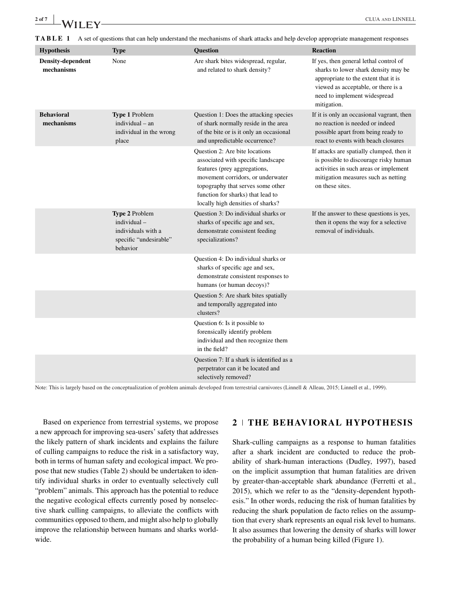| $\frac{2 \text{ of } 7}{2}$ WILEY-                                                                                                       |      |                                      | <b>CLUA AND LINNELL</b>                |  |  |  |
|------------------------------------------------------------------------------------------------------------------------------------------|------|--------------------------------------|----------------------------------------|--|--|--|
| A set of questions that can help understand the mechanisms of shark attacks and help develop appropriate management responses<br>TABLE 1 |      |                                      |                                        |  |  |  |
| <b>Hypothesis</b>                                                                                                                        | Type | <b>Ouestion</b>                      | <b>Reaction</b>                        |  |  |  |
| Density-dependent                                                                                                                        | None | Are shark bites widespread, regular, | If yes, then general lethal control of |  |  |  |

| mechanisms                      |                                                                                           | and related to shark density?                                                                                                                                                                                                                            | sharks to lower shark density may be<br>appropriate to the extent that it is<br>viewed as acceptable, or there is a<br>need to implement widespread<br>mitigation.                    |
|---------------------------------|-------------------------------------------------------------------------------------------|----------------------------------------------------------------------------------------------------------------------------------------------------------------------------------------------------------------------------------------------------------|---------------------------------------------------------------------------------------------------------------------------------------------------------------------------------------|
| <b>Behavioral</b><br>mechanisms | Type 1 Problem<br>individual - an<br>individual in the wrong<br>place                     | Question 1: Does the attacking species<br>of shark normally reside in the area<br>of the bite or is it only an occasional<br>and unpredictable occurrence?                                                                                               | If it is only an occasional vagrant, then<br>no reaction is needed or indeed<br>possible apart from being ready to<br>react to events with beach closures                             |
|                                 |                                                                                           | Question 2: Are bite locations<br>associated with specific landscape<br>features (prey aggregations,<br>movement corridors, or underwater<br>topography that serves some other<br>function for sharks) that lead to<br>locally high densities of sharks? | If attacks are spatially clumped, then it<br>is possible to discourage risky human<br>activities in such areas or implement<br>mitigation measures such as netting<br>on these sites. |
|                                 | Type 2 Problem<br>individual-<br>individuals with a<br>specific "undesirable"<br>behavior | Question 3: Do individual sharks or<br>sharks of specific age and sex,<br>demonstrate consistent feeding<br>specializations?                                                                                                                             | If the answer to these questions is yes,<br>then it opens the way for a selective<br>removal of individuals.                                                                          |
|                                 |                                                                                           | Question 4: Do individual sharks or<br>sharks of specific age and sex,<br>demonstrate consistent responses to<br>humans (or human decoys)?                                                                                                               |                                                                                                                                                                                       |
|                                 |                                                                                           | Question 5: Are shark bites spatially<br>and temporally aggregated into<br>clusters?                                                                                                                                                                     |                                                                                                                                                                                       |
|                                 |                                                                                           | Question 6: Is it possible to<br>forensically identify problem<br>individual and then recognize them<br>in the field?                                                                                                                                    |                                                                                                                                                                                       |
|                                 |                                                                                           | Question 7: If a shark is identified as a<br>perpetrator can it be located and<br>selectively removed?                                                                                                                                                   |                                                                                                                                                                                       |

Note: This is largely based on the conceptualization of problem animals developed from terrestrial carnivores (Linnell & Alleau, 2015; Linnell et al., 1999).

Based on experience from terrestrial systems, we propose a new approach for improving sea-users' safety that addresses the likely pattern of shark incidents and explains the failure of culling campaigns to reduce the risk in a satisfactory way, both in terms of human safety and ecological impact. We propose that new studies (Table 2) should be undertaken to identify individual sharks in order to eventually selectively cull "problem" animals. This approach has the potential to reduce the negative ecological effects currently posed by nonselective shark culling campaigns, to alleviate the conflicts with communities opposed to them, and might also help to globally improve the relationship between humans and sharks worldwide.

## **2 THE BEHAV IORAL HYPOTHES IS**

Shark-culling campaigns as a response to human fatalities after a shark incident are conducted to reduce the probability of shark-human interactions (Dudley, 1997), based on the implicit assumption that human fatalities are driven by greater-than-acceptable shark abundance (Ferretti et al., 2015), which we refer to as the "density-dependent hypothesis." In other words, reducing the risk of human fatalities by reducing the shark population de facto relies on the assumption that every shark represents an equal risk level to humans. It also assumes that lowering the density of sharks will lower the probability of a human being killed (Figure 1).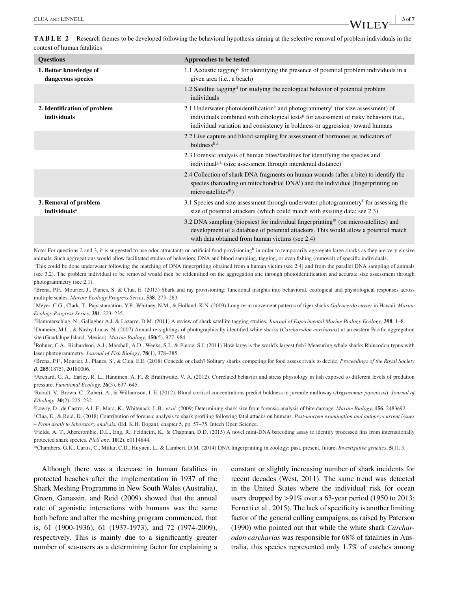**TABLE 2** Research themes to be developed following the behavioral hypothesis aiming at the selective removal of problem individuals in the context of human fatalities

| <b>Questions</b>                                  | Approaches to be tested                                                                                                                                                                                                                                                           |
|---------------------------------------------------|-----------------------------------------------------------------------------------------------------------------------------------------------------------------------------------------------------------------------------------------------------------------------------------|
| 1. Better knowledge of<br>dangerous species       | 1.1 Acoustic tagging for identifying the presence of potential problem individuals in a<br>given area ( <i>i.e.</i> , a beach)                                                                                                                                                    |
|                                                   | 1.2 Satellite tagging <sup>d</sup> for studying the ecological behavior of potential problem<br>individuals                                                                                                                                                                       |
| 2. Identification of problem<br>individuals       | 2.1 Underwater photoidentification and photogrammetry <sup>f</sup> (for size assessment) of<br>individuals combined with ethological tests <sup>g</sup> for assessment of risky behaviors (i.e.,<br>individual variation and consistency in boldness or aggression) toward humans |
|                                                   | 2.2 Live capture and blood sampling for assessment of hormones as indicators of<br>$boldness^{h,i}$                                                                                                                                                                               |
|                                                   | 2.3 Forensic analysis of human bites/fatalities for identifying the species and<br>individual <sup>j,k</sup> (size assessment through interdental distance)                                                                                                                       |
|                                                   | 2.4 Collection of shark DNA fragments on human wounds (after a bite) to identify the<br>species (barcoding on mitochondrial $DNA1$ ) and the individual (fingerprinting on<br>$microsatellitesm$ )                                                                                |
| 3. Removal of problem<br>individuals <sup>a</sup> | 3.1 Species and size assessment through underwater photogrammetry for assessing the<br>size of potential attackers (which could match with existing data; see 2.3)                                                                                                                |
|                                                   | 3.2 DNA sampling (biopsies) for individual fingerprinting <sup>m</sup> (on microsatellites) and<br>development of a database of potential attackers. This would allow a potential match<br>with data obtained from human victims (see 2.4)                                        |

Note: For questions 2 and 3, it is suggested to use odor attractants or artificial food provisioning<sup>b</sup> in order to temporarily aggregate large sharks as they are very elusive animals. Such aggregations would allow facilitated studies of behaviors, DNA and blood sampling, tagging, or even fishing (removal) of specific individuals.

<sup>a</sup>This could be done underwater following the matching of DNA fingerpriting obtained from a human victim (see 2.4) and from the parallel DNA sampling of animals (see 3.2). The problem individual to be removed would then be reidentified on the aggregation site through photoidentification and accurate size assessment through photogrammetry (see 2.1).

<sup>b</sup>Brena, P.F., Mourier, J., Planes, S. & Clua, E. (2015) Shark and ray provisioning: functional insights into behavioral, ecological and physiological responses across multiple scales. *Marine Ecology Progress Series*, **538**, 273–283.

cMeyer, C.G., Clark, T., Papastamatiou, Y.P., Whitney, N.M., & Holland, K.N. (2009) Long-term movement patterns of tiger sharks *Galeocerdo cuvier* in Hawaii. *Marine Ecology Progress Series,* **381**, 223–235.

dHammerschlag, N., Gallagher A.J. & Lazarre, D.M. (2011) A review of shark satellite tagging studies. *Journal of Experimental Marine Biology Ecology*, **398**, 1–8.

eDomeier, M.L., & Nasby-Lucas, N. (2007) Annual re-sightings of photographically identified white sharks (*Carcharodon carcharias*) at an eastern Pacific aggregation site (Guadalupe Island, Mexico). *Marine Biology*, **150**(5), 977–984.

f Rohner, C.A., Richardson, A.J., Marshall, A.D., Weeks, S.J., & Pierce, S.J. (2011) How large is the world's largest fish? Measuring whale sharks Rhincodon typus with laser photogrammetry. *Journal of Fish Biology*, **78**(1), 378–385.

gBrena, P.F., Mourier, J., Planes, S., & Clua, E.E. (2018) Concede or clash? Solitary sharks competing for food assess rivals to decide. *Proceedings of the Royal Society B*, **285**(1875), 20180006.

h Archard, G. A., Earley, R. L., Hanninen, A. F., & Braithwaite, V. A. (2012). Correlated behavior and stress physiology in fish exposed to different levels of predation pressure. *Functional Ecology*, **26**(3), 637–645.

i Raoult, V., Brown, C., Zuberi, A., & Williamson, J. E. (2012). Blood cortisol concentrations predict boldness in juvenile mulloway (*Argyosomus japonicus*). *Journal of Ethology*, **30**(2), 225–232.

j Lowry, D., de Castro, A.L.F., Mara, K., Whitenack, L.B., *et al.* (2009) Determining shark size from forensic analysis of bite damage. *Marine Biology*, **156**, 2483e92.

kClua, E., & Reid, D. (2018) Contribution of forensic analysis to shark profiling following fatal attacks on humans. *Post-mortem examination and autopsy-current issues – From death to laboratory analysis.* (Ed. K.H. Dogan), chapter 5, pp. 57–75. Intech Open Science.

l Fields, A. T., Abercrombie, D.L., Eng, R., Feldheim, K., & Chapman, D.D. (2015) A novel mini-DNA barcoding assay to identify processed fins from internationally protected shark species. *PloS one*, **10**(2), e0114844.

mChambers, G.K., Curtis, C., Millar, C.D., Huynen, L., & Lambert, D.M. (2014) DNA fingerprinting in zoology: past, present, future. *Investigative genetics*, **5**(1), 3.

Although there was a decrease in human fatalities in protected beaches after the implementation in 1937 of the Shark Meshing Programme in New South Wales (Australia), Green, Ganassin, and Reid (2009) showed that the annual rate of agonistic interactions with humans was the same both before and after the meshing program commenced, that is, 61 (1900-1936), 61 (1937-1973), and 72 (1974-2009), respectively. This is mainly due to a significantly greater number of sea-users as a determining factor for explaining a constant or slightly increasing number of shark incidents for recent decades (West, 2011). The same trend was detected in the United States where the individual risk for ocean users dropped by *>*91% over a 63-year period (1950 to 2013; Ferretti et al., 2015). The lack of specificity is another limiting factor of the general culling campaigns, as raised by Paterson (1990) who pointed out that while the white shark *Carcharodon carcharias* was responsible for 68% of fatalities in Australia, this species represented only 1.7% of catches among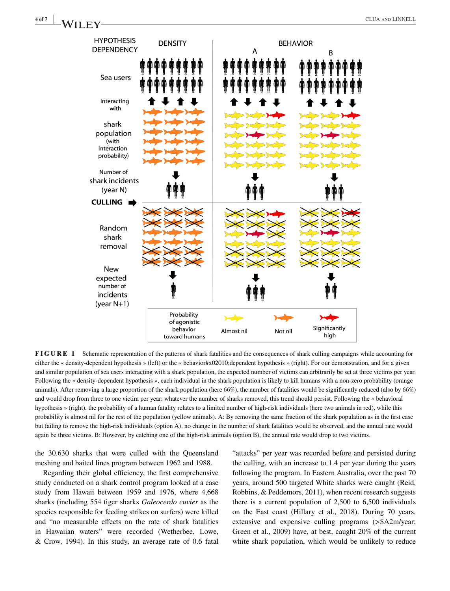

**FIGURE 1** Schematic representation of the patterns of shark fatalities and the consequences of shark culling campaigns while accounting for either the « density-dependent hypothesis » (left) or the « behavior#x02010;dependent hypothesis » (right). For our demonstration, and for a given and similar population of sea users interacting with a shark population, the expected number of victims can arbitrarily be set at three victims per year. Following the « density-dependent hypothesis », each individual in the shark population is likely to kill humans with a non-zero probability (orange animals). After removing a large proportion of the shark population (here 66%), the number of fatalities would be significantly reduced (also by 66%) and would drop from three to one victim per year; whatever the number of sharks removed, this trend should persist. Following the « behavioral hypothesis » (right), the probability of a human fatality relates to a limited number of high-risk individuals (here two animals in red), while this probability is almost nil for the rest of the population (yellow animals). A: By removing the same fraction of the shark population as in the first case but failing to remove the high-risk individuals (option A), no change in the number of shark fatalities would be observed, and the annual rate would again be three victims. B: However, by catching one of the high-risk animals (option B), the annual rate would drop to two victims.

the 30.630 sharks that were culled with the Queensland meshing and baited lines program between 1962 and 1988.

Regarding their global efficiency, the first comprehensive study conducted on a shark control program looked at a case study from Hawaii between 1959 and 1976, where 4,668 sharks (including 554 tiger sharks *Galeocerdo cuvier* as the species responsible for feeding strikes on surfers) were killed and "no measurable effects on the rate of shark fatalities in Hawaiian waters" were recorded (Wetherbee, Lowe, & Crow, 1994). In this study, an average rate of 0.6 fatal "attacks" per year was recorded before and persisted during the culling, with an increase to 1.4 per year during the years following the program. In Eastern Australia, over the past 70 years, around 500 targeted White sharks were caught (Reid, Robbins, & Peddemors, 2011), when recent research suggests there is a current population of 2,500 to 6,500 individuals on the East coast (Hillary et al., 2018). During 70 years, extensive and expensive culling programs (*>*\$A2m/year; Green et al., 2009) have, at best, caught 20% of the current white shark population, which would be unlikely to reduce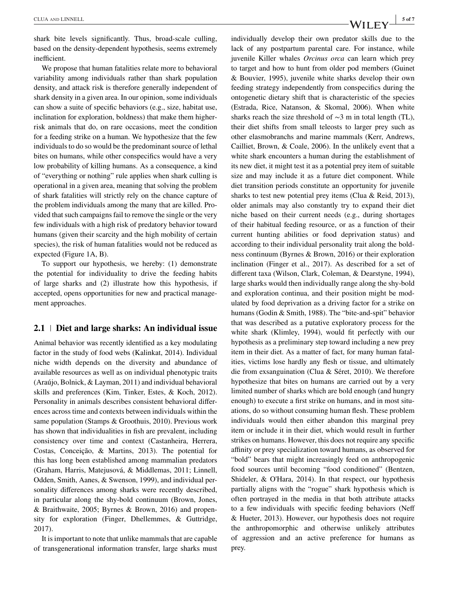shark bite levels significantly. Thus, broad-scale culling, based on the density-dependent hypothesis, seems extremely inefficient.

We propose that human fatalities relate more to behavioral variability among individuals rather than shark population density, and attack risk is therefore generally independent of shark density in a given area. In our opinion, some individuals can show a suite of specific behaviors (e.g., size, habitat use, inclination for exploration, boldness) that make them higherrisk animals that do, on rare occasions, meet the condition for a feeding strike on a human. We hypothesize that the few individuals to do so would be the predominant source of lethal bites on humans, while other conspecifics would have a very low probability of killing humans. As a consequence, a kind of "everything or nothing" rule applies when shark culling is operational in a given area, meaning that solving the problem of shark fatalities will strictly rely on the chance capture of the problem individuals among the many that are killed. Provided that such campaigns fail to remove the single or the very few individuals with a high risk of predatory behavior toward humans (given their scarcity and the high mobility of certain species), the risk of human fatalities would not be reduced as expected (Figure 1A, B).

To support our hypothesis, we hereby: (1) demonstrate the potential for individuality to drive the feeding habits of large sharks and (2) illustrate how this hypothesis, if accepted, opens opportunities for new and practical management approaches.

## **2.1 Diet and large sharks: An individual issue**

Animal behavior was recently identified as a key modulating factor in the study of food webs (Kalinkat, 2014). Individual niche width depends on the diversity and abundance of available resources as well as on individual phenotypic traits (Araújo, Bolnick, & Layman, 2011) and individual behavioral skills and preferences (Kim, Tinker, Estes, & Koch, 2012). Personality in animals describes consistent behavioral differences across time and contexts between individuals within the same population (Stamps & Groothuis, 2010). Previous work has shown that individualities in fish are prevalent, including consistency over time and context (Castanheira, Herrera, Costas, Conceição, & Martins, 2013). The potential for this has long been established among mammalian predators (Graham, Harris, Matejusová, & Middlemas, 2011; Linnell, Odden, Smith, Aanes, & Swenson, 1999), and individual personality differences among sharks were recently described, in particular along the shy-bold continuum (Brown, Jones, & Braithwaite, 2005; Byrnes & Brown, 2016) and propensity for exploration (Finger, Dhellemmes, & Guttridge, 2017).

It is important to note that unlike mammals that are capable of transgenerational information transfer, large sharks must individually develop their own predator skills due to the lack of any postpartum parental care. For instance, while juvenile Killer whales *Orcinus orca* can learn which prey to target and how to hunt from older pod members (Guinet & Bouvier, 1995), juvenile white sharks develop their own feeding strategy independently from conspecifics during the ontogenetic dietary shift that is characteristic of the species (Estrada, Rice, Natanson, & Skomal, 2006). When white sharks reach the size threshold of ∼3 m in total length (TL), their diet shifts from small teleosts to larger prey such as other elasmobranchs and marine mammals (Kerr, Andrews, Cailliet, Brown, & Coale, 2006). In the unlikely event that a white shark encounters a human during the establishment of its new diet, it might test it as a potential prey item of suitable size and may include it as a future diet component. While diet transition periods constitute an opportunity for juvenile sharks to test new potential prey items (Clua & Reid, 2013), older animals may also constantly try to expand their diet niche based on their current needs (e.g., during shortages of their habitual feeding resource, or as a function of their current hunting abilities or food deprivation status) and according to their individual personality trait along the boldness continuum (Byrnes & Brown, 2016) or their exploration inclination (Finger et al., 2017). As described for a set of different taxa (Wilson, Clark, Coleman, & Dearstyne, 1994), large sharks would then individually range along the shy-bold and exploration continua, and their position might be modulated by food deprivation as a driving factor for a strike on humans (Godin & Smith, 1988). The "bite-and-spit" behavior that was described as a putative exploratory process for the white shark (Klimley, 1994), would fit perfectly with our hypothesis as a preliminary step toward including a new prey item in their diet. As a matter of fact, for many human fatalities, victims lose hardly any flesh or tissue, and ultimately die from exsanguination (Clua & Séret, 2010). We therefore hypothesize that bites on humans are carried out by a very limited number of sharks which are bold enough (and hungry enough) to execute a first strike on humans, and in most situations, do so without consuming human flesh. These problem individuals would then either abandon this marginal prey item or include it in their diet, which would result in further strikes on humans. However, this does not require any specific affinity or prey specialization toward humans, as observed for "bold" bears that might increasingly feed on anthropogenic food sources until becoming "food conditioned" (Bentzen, Shideler, & O'Hara, 2014). In that respect, our hypothesis partially aligns with the "rogue" shark hypothesis which is often portrayed in the media in that both attribute attacks to a few individuals with specific feeding behaviors (Neff & Hueter, 2013). However, our hypothesis does not require the anthropomorphic and otherwise unlikely attributes of aggression and an active preference for humans as prey.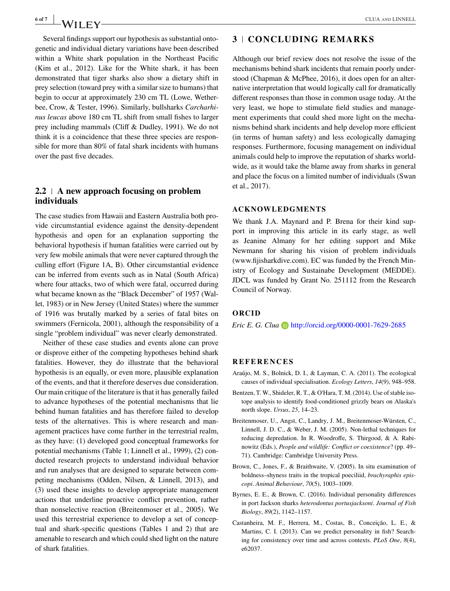Several findings support our hypothesis as substantial ontogenetic and individual dietary variations have been described within a White shark population in the Northeast Pacific (Kim et al., 2012). Like for the White shark, it has been demonstrated that tiger sharks also show a dietary shift in prey selection (toward prey with a similar size to humans) that begin to occur at approximately 230 cm TL (Lowe, Wetherbee, Crow, & Tester, 1996). Similarly, bullsharks *Carcharhinus leucas* above 180 cm TL shift from small fishes to larger prey including mammals (Cliff & Dudley, 1991). We do not think it is a coincidence that these three species are responsible for more than 80% of fatal shark incidents with humans over the past five decades.

## **2.2 A new approach focusing on problem individuals**

The case studies from Hawaii and Eastern Australia both provide circumstantial evidence against the density-dependent hypothesis and open for an explanation supporting the behavioral hypothesis if human fatalities were carried out by very few mobile animals that were never captured through the culling effort (Figure 1A, B). Other circumstantial evidence can be inferred from events such as in Natal (South Africa) where four attacks, two of which were fatal, occurred during what became known as the "Black December" of 1957 (Wallet, 1983) or in New Jersey (United States) where the summer of 1916 was brutally marked by a series of fatal bites on swimmers (Fernicola, 2001), although the responsibility of a single "problem individual" was never clearly demonstrated.

Neither of these case studies and events alone can prove or disprove either of the competing hypotheses behind shark fatalities. However, they do illustrate that the behavioral hypothesis is an equally, or even more, plausible explanation of the events, and that it therefore deserves due consideration. Our main critique of the literature is that it has generally failed to advance hypotheses of the potential mechanisms that lie behind human fatalities and has therefore failed to develop tests of the alternatives. This is where research and management practices have come further in the terrestrial realm, as they have: (1) developed good conceptual frameworks for potential mechanisms (Table 1; Linnell et al., 1999), (2) conducted research projects to understand individual behavior and run analyses that are designed to separate between competing mechanisms (Odden, Nilsen, & Linnell, 2013), and (3) used these insights to develop appropriate management actions that underline proactive conflict prevention, rather than nonselective reaction (Breitenmoser et al., 2005). We used this terrestrial experience to develop a set of conceptual and shark-specific questions (Tables 1 and 2) that are amenable to research and which could shed light on the nature of shark fatalities.

## **3 CONCLUDING REMARKS**

Although our brief review does not resolve the issue of the mechanisms behind shark incidents that remain poorly understood (Chapman & McPhee, 2016), it does open for an alternative interpretation that would logically call for dramatically different responses than those in common usage today. At the very least, we hope to stimulate field studies and management experiments that could shed more light on the mechanisms behind shark incidents and help develop more efficient (in terms of human safety) and less ecologically damaging responses. Furthermore, focusing management on individual animals could help to improve the reputation of sharks worldwide, as it would take the blame away from sharks in general and place the focus on a limited number of individuals (Swan et al., 2017).

### **ACKNOWLEDGMENTS**

We thank J.A. Maynard and P. Brena for their kind support in improving this article in its early stage, as well as Jeanine Almany for her editing support and Mike Newmann for sharing his vision of problem individuals [\(www.fijisharkdive.com\)](http://www.fijisharkdive.com). EC was funded by the French Ministry of Ecology and Sustainabe Development (MEDDE). JDCL was funded by Grant No. 251112 from the Research Council of Norway.

#### **ORCID**

*Eric E. G. Clua* **b** <http://orcid.org/0000-0001-7629-2685>

#### **REFERENCES**

- Araújo, M. S., Bolnick, D. I., & Layman, C. A. (2011). The ecological causes of individual specialisation. *Ecology Letters*, *14*(9), 948–958.
- Bentzen, T. W., Shideler, R. T., & O'Hara, T. M. (2014). Use of stable isotope analysis to identify food-conditioned grizzly bears on Alaska's north slope. *Ursus*, *25*, 14–23.
- Breitenmoser, U., Angst, C., Landry, J. M., Breitenmoser-Würsten, C., Linnell, J. D. C., & Weber, J. M. (2005). Non-lethal techniques for reducing depredation. In R. Woodroffe, S. Thirgood, & A. Rabinowitz (Eds.), *People and wildlife: Conflict or coexistence*? (pp. 49– 71). Cambridge: Cambridge University Press.
- Brown, C., Jones, F., & Braithwaite, V. (2005). In situ examination of boldness–shyness traits in the tropical poeciliid, *brachyraphis episcopi*. *Animal Behaviour*, *70*(5), 1003–1009.
- Byrnes, E. E., & Brown, C. (2016). Individual personality differences in port Jackson sharks *heterodontus portusjacksoni*. *Journal of Fish Biology*, *89*(2), 1142–1157.
- Castanheira, M. F., Herrera, M., Costas, B., Conceição, L. E., & Martins, C. I. (2013). Can we predict personality in fish? Searching for consistency over time and across contexts. *PLoS One*, *8*(4), e62037.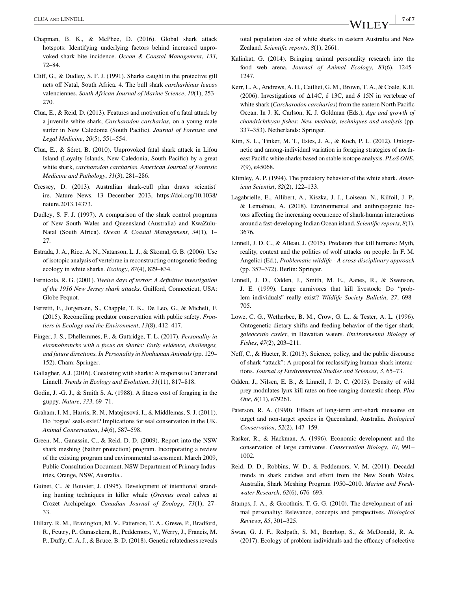- Chapman, B. K., & McPhee, D. (2016). Global shark attack hotspots: Identifying underlying factors behind increased unprovoked shark bite incidence. *Ocean & Coastal Management*, *133*, 72–84.
- Cliff, G., & Dudley, S. F. J. (1991). Sharks caught in the protective gill nets off Natal, South Africa. 4. The bull shark *carcharhinus leucas* valenciennes. *South African Journal of Marine Science*, *10*(1), 253– 270.
- Clua, E., & Reid, D. (2013). Features and motivation of a fatal attack by a juvenile white shark, *Carcharodon carcharias*, on a young male surfer in New Caledonia (South Pacific). *Journal of Forensic and Legal Medicine*, *20*(5), 551–554.
- Clua, E., & Séret, B. (2010). Unprovoked fatal shark attack in Lifou Island (Loyalty Islands, New Caledonia, South Pacific) by a great white shark, *carcharodon carcharias*. *American Journal of Forensic Medicine and Pathology*, *31*(3), 281–286.
- Cressey, D. (2013). Australian shark-cull plan draws scientist' ire. Nature News. 13 December 2013, [https://doi.org/10.1038/](https://doi.org/10.1038/nature.2013.14373) [nature.2013.14373.](https://doi.org/10.1038/nature.2013.14373)
- Dudley, S. F. J. (1997). A comparison of the shark control programs of New South Wales and Queensland (Australia) and KwaZulu-Natal (South Africa). *Ocean & Coastal Management*, *34*(1), 1– 27.
- Estrada, J. A., Rice, A. N., Natanson, L. J., & Skomal, G. B. (2006). Use of isotopic analysis of vertebrae in reconstructing ontogenetic feeding ecology in white sharks. *Ecology*, *87*(4), 829–834.
- Fernicola, R. G. (2001). *Twelve days of terror: A definitive investigation of the 1916 New Jersey shark attacks*. Guilford, Connecticut, USA: Globe Pequot.
- Ferretti, F., Jorgensen, S., Chapple, T. K., De Leo, G., & Micheli, F. (2015). Reconciling predator conservation with public safety. *Frontiers in Ecology and the Environment*, *13*(8), 412–417.
- Finger, J. S., Dhellemmes, F., & Guttridge, T. L. (2017). *Personality in elasmobranchs with a focus on sharks: Early evidence, challenges, and future directions. In Personality in Nonhuman Animals* (pp. 129– 152). Cham: Springer.
- Gallagher, A.J. (2016). Coexisting with sharks: A response to Carter and Linnell. *Trends in Ecology and Evolution*, *31*(11), 817–818.
- Godin, J. -G. J., & Smith S. A. (1988). A fitness cost of foraging in the guppy. *Nature*, *333*, 69–71.
- Graham, I. M., Harris, R. N., Matejusová, I., & Middlemas, S. J. (2011). Do 'rogue' seals exist? Implications for seal conservation in the UK. *Animal Conservation*, *14*(6), 587–598.
- Green, M., Ganassin, C., & Reid, D. D. (2009). Report into the NSW shark meshing (bather protection) program. Incorporating a review of the existing program and environmental assessment. March 2009, Public Consultation Document. NSW Department of Primary Industries, Orange, NSW, Australia..
- Guinet, C., & Bouvier, J. (1995). Development of intentional stranding hunting techniques in killer whale (*Orcinus orca*) calves at Crozet Archipelago. *Canadian Journal of Zoology*, *73*(1), 27– 33.
- Hillary, R. M., Bravington, M. V., Patterson, T. A., Grewe, P., Bradford, R., Feutry, P., Gunasekera, R., Peddemors, V., Werry, J., Francis, M. P., Duffy, C. A. J., & Bruce, B. D. (2018). Genetic relatedness reveals

total population size of white sharks in eastern Australia and New Zealand. *Scientific reports*, *8*(1), 2661.

- Kalinkat, G. (2014). Bringing animal personality research into the food web arena. *Journal of Animal Ecology*, *83*(6), 1245– 1247.
- Kerr, L. A., Andrews, A. H., Cailliet, G. M., Brown, T. A., & Coale, K.H. (2006). Investigations of  $\Delta 14C$ ,  $\delta$  13C, and  $\delta$  15N in vertebrae of white shark (*Carcharodon carcharias*) from the eastern North Pacific Ocean. In J. K. Carlson, K. J. Goldman (Eds.), *Age and growth of chondrichthyan fishes: New methods, techniques and analysis* (pp. 337–353). Netherlands: Springer.
- Kim, S. L., Tinker, M. T., Estes, J. A., & Koch, P. L. (2012). Ontogenetic and among-individual variation in foraging strategies of northeast Pacific white sharks based on stable isotope analysis. *PLoS ONE*, *7*(9), e45068.
- Klimley, A. P. (1994). The predatory behavior of the white shark. *American Scientist*, *82*(2), 122–133.
- Lagabrielle, E., Allibert, A., Kiszka, J. J., Loiseau, N., Kilfoil, J. P., & Lemahieu, A. (2018). Environmental and anthropogenic factors affecting the increasing occurrence of shark-human interactions around a fast-developing Indian Ocean island. *Scientific reports*, *8*(1), 3676.
- Linnell, J. D. C., & Alleau, J. (2015). Predators that kill humans: Myth, reality, context and the politics of wolf attacks on people. In F. M. Angelici (Ed.), *Problematic wildlife - A cross-disciplinary approach* (pp. 357–372). Berlin: Springer.
- Linnell, J. D., Odden, J., Smith, M. E., Aanes, R., & Swenson, J. E. (1999). Large carnivores that kill livestock: Do "problem individuals" really exist? *Wildlife Society Bulletin*, *27*, 698– 705.
- Lowe, C. G., Wetherbee, B. M., Crow, G. L., & Tester, A. L. (1996). Ontogenetic dietary shifts and feeding behavior of the tiger shark, *galeocerdo cuvier*, in Hawaiian waters. *Environmental Biology of Fishes*, *47*(2), 203–211.
- Neff, C., & Hueter, R. (2013). Science, policy, and the public discourse of shark "attack": A proposal for reclassifying human-shark interactions. *Journal of Environmental Studies and Sciences*, *3*, 65–73.
- Odden, J., Nilsen, E. B., & Linnell, J. D. C. (2013). Density of wild prey modulates lynx kill rates on free-ranging domestic sheep. *Plos One*, *8*(11), e79261.
- Paterson, R. A. (1990). Effects of long-term anti-shark measures on target and non-target species in Queensland, Australia. *Biological Conservation*, *52*(2), 147–159.
- Rasker, R., & Hackman, A. (1996). Economic development and the conservation of large carnivores. *Conservation Biology*, *10*, 991– 1002.
- Reid, D. D., Robbins, W. D., & Peddemors, V. M. (2011). Decadal trends in shark catches and effort from the New South Wales, Australia, Shark Meshing Program 1950–2010. *Marine and Freshwater Research*, *62*(6), 676–693.
- Stamps, J. A., & Groothuis, T. G. G. (2010). The development of animal personality: Relevance, concepts and perspectives. *Biological Reviews*, *85*, 301–325.
- Swan, G. J. F., Redpath, S. M., Bearhop, S., & McDonald, R. A. (2017). Ecology of problem individuals and the efficacy of selective